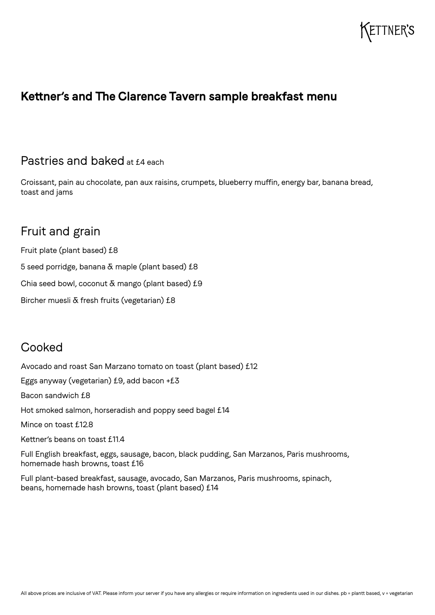# ETTNER'S

## **Kettner's and The Clarence Tavern sample breakfast menu**

#### Pastries and baked at £4 each

Croissant, pain au chocolate, pan aux raisins, crumpets, blueberry muffin, energy bar, banana bread, toast and jams

# Fruit and grain

Fruit plate (plant based) £8 5 seed porridge, banana & maple (plant based) £8 Chia seed bowl, coconut  $\delta$  mango (plant based) £9 Bircher muesli & fresh fruits (vegetarian) £8

## **Cooked**

Avocado and roast San Marzano tomato on toast (plant based) £12 Eggs anyway (vegetarian) £9, add bacon +£3 Bacon sandwich £8 Hot smoked salmon, horseradish and poppy seed bagel £14 Mince on toast £12.8 Kettner's beans on toast £11.4 Full English breakfast, eggs, sausage, bacon, black pudding, San Marzanos, Paris mushrooms, homemade hash browns, toast £16

Full plant-based breakfast, sausage, avocado, San Marzanos, Paris mushrooms, spinach, beans, homemade hash browns, toast (plant based) £14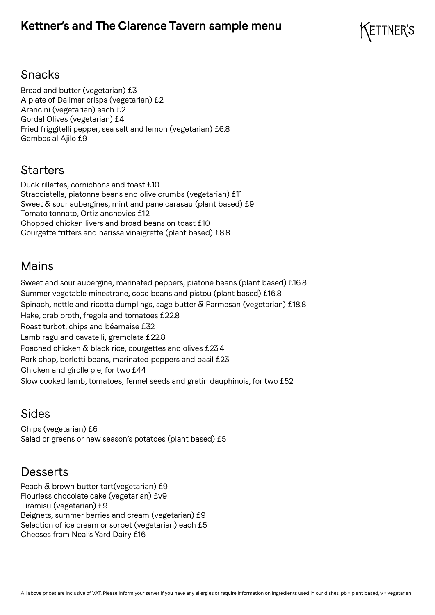## **Kettner's and The Clarence Tavern sample menu**



## Snacks

Bread and butter (vegetarian) £3 A plate of Dalimar crisps (vegetarian) £2 Arancini (vegetarian) each £2 Gordal Olives (vegetarian) £4 Fried friggitelli pepper, sea salt and lemon (vegetarian) £6.8 Gambas al Ajilo £9

## **Starters**

Duck rillettes, cornichons and toast £10 Stracciatella, piatonne beans and olive crumbs (vegetarian) £11 Sweet  $\bar{\alpha}$  sour aubergines, mint and pane carasau (plant based) £9 Tomato tonnato, Ortiz anchovies £12 Chopped chicken livers and broad beans on toast £10 Courgette fritters and harissa vinaigrette (plant based) £8.8

## Mains

Sweet and sour aubergine, marinated peppers, piatone beans (plant based) £16.8 Summer vegetable minestrone, coco beans and pistou (plant based) £16.8 Spinach, nettle and ricotta dumplings, sage butter & Parmesan (vegetarian) £18.8 Hake, crab broth, fregola and tomatoes £22.8 Roast turbot, chips and béarnaise £32 Lamb ragu and cavatelli, gremolata £22.8 Poached chicken & black rice, courgettes and olives £23.4 Pork chop, borlotti beans, marinated peppers and basil £23 Chicken and girolle pie, for two £44 Slow cooked lamb, tomatoes, fennel seeds and gratin dauphinois, for two £52

## Sides

Chips (vegetarian) £6 Salad or greens or new season's potatoes (plant based) £5

#### **Desserts**

Peach & brown butter tart(vegetarian) £9 Flourless chocolate cake (vegetarian) £v9 Tiramisu (vegetarian) £9 Beignets, summer berries and cream (vegetarian) £9 Selection of ice cream or sorbet (vegetarian) each £5 Cheeses from Neal's Yard Dairy £16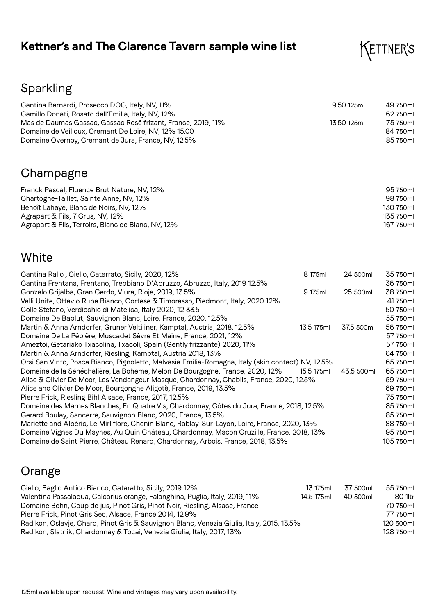# **Kettner's and The Clarence Tavern sample wine list**



# Sparkling

| Cantina Bernardi, Prosecco DOC, Italy, NV, 11%               | 9.50 125ml  | 49 750ml |
|--------------------------------------------------------------|-------------|----------|
| Camillo Donati, Rosato dell'Emilla, Italy, NV, 12%           |             | 62750ml  |
| Mas de Daumas Gassac, Gassac Rosé frizant, France, 2019, 11% | 13.50 125ml | 75 750ml |
| Domaine de Veilloux, Cremant De Loire, NV, 12% 15.00         |             | 84 750ml |
| Domaine Overnoy, Cremant de Jura, France, NV, 12.5%          |             | 85 750ml |

# Champagne

| Franck Pascal, Fluence Brut Nature, NV, 12%<br>Chartogne-Taillet, Sainte Anne, NV, 12% | 95 750ml<br>98 750ml |
|----------------------------------------------------------------------------------------|----------------------|
| Benoît Lahaye, Blanc de Noirs, NV, 12%                                                 | 130 750ml            |
| Agrapart $\delta$ Fils, 7 Crus, NV, 12%                                                | 135 750ml            |
| Agrapart & Fils, Terroirs, Blanc de Blanc, NV, 12%                                     | 167 750ml            |

# White

| Cantina Rallo, Ciello, Catarrato, Sicily, 2020, 12%                                               | 8 175ml    | 24 500ml   | 35 750ml  |
|---------------------------------------------------------------------------------------------------|------------|------------|-----------|
| Cantina Frentana, Frentano, Trebbiano D'Abruzzo, Abruzzo, Italy, 2019 12.5%                       |            |            | 36 750ml  |
| Gonzalo Grijalba, Gran Cerdo, Viura, Rioja, 2019, 13.5%                                           | 9 175ml    | 25 500ml   | 38 750ml  |
| Valli Unite, Ottavio Rube Bianco, Cortese & Timorasso, Piedmont, Italy, 2020 12%                  |            |            | 41750ml   |
| Colle Stefano, Verdicchio di Matelica, Italy 2020, 12 33.5                                        |            |            | 50 750ml  |
| Domaine De Bablut, Sauvignon Blanc, Loire, France, 2020, 12.5%                                    |            |            | 55 750ml  |
| Martin & Anna Arndorfer, Gruner Veltiliner, Kamptal, Austria, 2018, 12.5%                         | 13.5 175ml | 37.5 500ml | 56 750ml  |
| Domaine De La Pépière, Muscadet Sèvre Et Maine, France, 2021, 12%                                 |            |            | 57 750ml  |
| Ameztoi, Getariako Txacolina, Txacoli, Spain (Gently frizzante) 2020, 11%                         |            |            | 57 750ml  |
| Martin & Anna Arndorfer, Riesling, Kamptal, Austria 2018, 13%                                     |            |            | 64 750ml  |
| Orsi San Vinto, Posca Bianco, Pignoletto, Malvasia Emilia-Romagna, Italy (skin contact) NV, 12.5% |            |            | 65 750ml  |
| Domaine de la Sénéchalière, La Boheme, Melon De Bourgogne, France, 2020, 12%                      | 15.5 175ml | 43.5 500ml | 65 750ml  |
| Alice & Olivier De Moor, Les Vendangeur Masque, Chardonnay, Chablis, France, 2020, 12.5%          |            |            | 69 750ml  |
| Alice and Olivier De Moor, Bourgongne Aligotè, France, 2019, 13.5%                                |            |            | 69 750ml  |
| Pierre Frick, Riesling Bihl Alsace, France, 2017, 12.5%                                           |            |            | 75 750ml  |
| Domaine des Marnes Blanches, En Quatre Vis, Chardonnay, Côtes du Jura, France, 2018, 12.5%        |            |            | 85 750ml  |
| Gerard Boulay, Sancerre, Sauvignon Blanc, 2020, France, 13.5%                                     |            |            | 85 750ml  |
| Mariette and Albéric, Le Mirliflore, Chenin Blanc, Rablay-Sur-Layon, Loire, France, 2020, 13%     |            |            | 88 750ml  |
| Domaine Vignes Du Maynes, Au Quin Château, Chardonnay, Macon Cruzille, France, 2018, 13%          |            |            | 95 750ml  |
| Domaine de Saint Pierre, Château Renard, Chardonnay, Arbois, France, 2018, 13.5%                  |            |            | 105 750ml |

# Orange

| Ciello, Baglio Antico Bianco, Cataratto, Sicily, 2019 12%                                 | 13 175ml   | 37 500ml | 55 750ml  |
|-------------------------------------------------------------------------------------------|------------|----------|-----------|
| Valentina Passalaqua, Calcarius orange, Falanghina, Puglia, Italy, 2019, 11%              | 14.5 175ml | 40 500ml | 80 1ltr   |
| Domaine Bohn, Coup de jus, Pinot Gris, Pinot Noir, Riesling, Alsace, France               |            |          | 70 750ml  |
| Pierre Frick, Pinot Gris Sec, Alsace, France 2014, 12.9%                                  |            |          | 77 750ml  |
| Radikon, Oslavje, Chard, Pinot Gris & Sauvignon Blanc, Venezia Giulia, Italy, 2015, 13.5% |            |          | 120 500ml |
| Radikon, Slatnik, Chardonnay & Tocai, Venezia Giulia, Italy, 2017, 13%                    |            |          | 128 750ml |